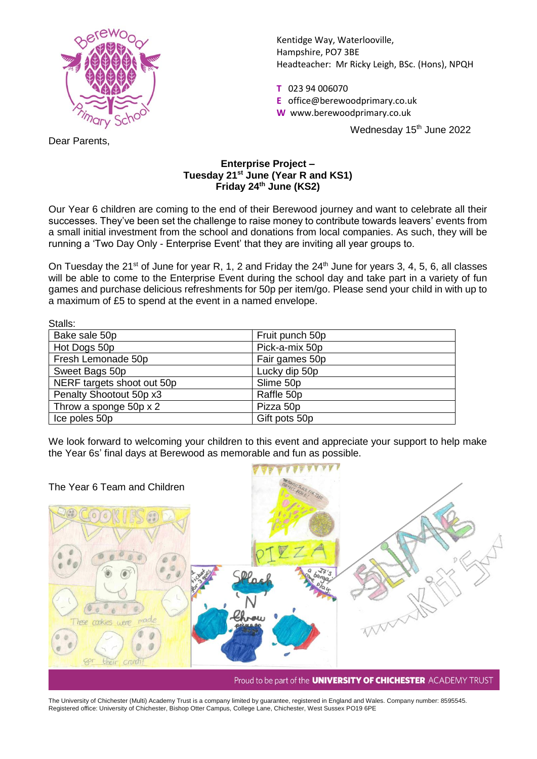

Kentidge Way, Waterlooville, Hampshire, PO7 3BE Headteacher: Mr Ricky Leigh, BSc. (Hons), NPQH

**T** 023 94 006070

- **E** office@berewoodprimary.co.uk
- **W** www.berewoodprimary.co.uk

Wednesday 15<sup>th</sup> June 2022

Dear Parents,

## **Enterprise Project – Tuesday 21 st June (Year R and KS1) Friday 24th June (KS2)**

Our Year 6 children are coming to the end of their Berewood journey and want to celebrate all their successes. They've been set the challenge to raise money to contribute towards leavers' events from a small initial investment from the school and donations from local companies. As such, they will be running a 'Two Day Only - Enterprise Event' that they are inviting all year groups to.

On Tuesday the 21<sup>st</sup> of June for year R, 1, 2 and Friday the  $24<sup>th</sup>$  June for years 3, 4, 5, 6, all classes will be able to come to the Enterprise Event during the school day and take part in a variety of fun games and purchase delicious refreshments for 50p per item/go. Please send your child in with up to a maximum of £5 to spend at the event in a named envelope.

| Stalls:                    |                 |
|----------------------------|-----------------|
| Bake sale 50p              | Fruit punch 50p |
| Hot Dogs 50p               | Pick-a-mix 50p  |
| Fresh Lemonade 50p         | Fair games 50p  |
| Sweet Bags 50p             | Lucky dip 50p   |
| NERF targets shoot out 50p | Slime 50p       |
| Penalty Shootout 50p x3    | Raffle 50p      |
| Throw a sponge 50p x 2     | Pizza 50p       |
| Ice poles 50p              | Gift pots 50p   |

We look forward to welcoming your children to this event and appreciate your support to help make the Year 6s' final days at Berewood as memorable and fun as possible.



The University of Chichester (Multi) Academy Trust is a company limited by guarantee, registered in England and Wales. Company number: 8595545. Registered office: University of Chichester, Bishop Otter Campus, College Lane, Chichester, West Sussex PO19 6PE